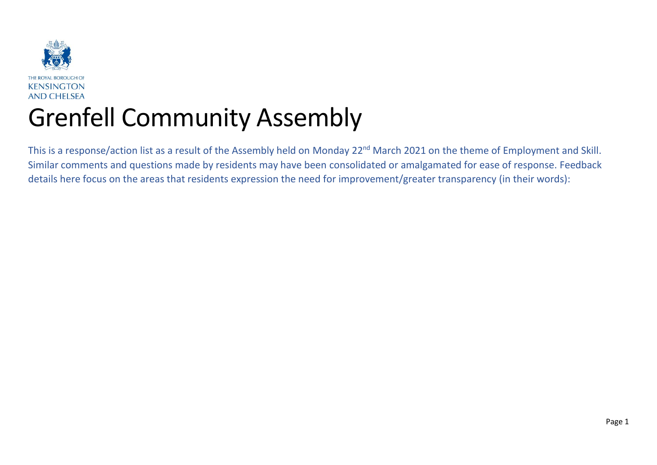

This is a response/action list as a result of the Assembly held on Monday 22<sup>nd</sup> March 2021 on the theme of Employment and Skill. Similar comments and questions made by residents may have been consolidated or amalgamated for ease of response. Feedback details here focus on the areas that residents expression the need for improvement/greater transparency (in their words):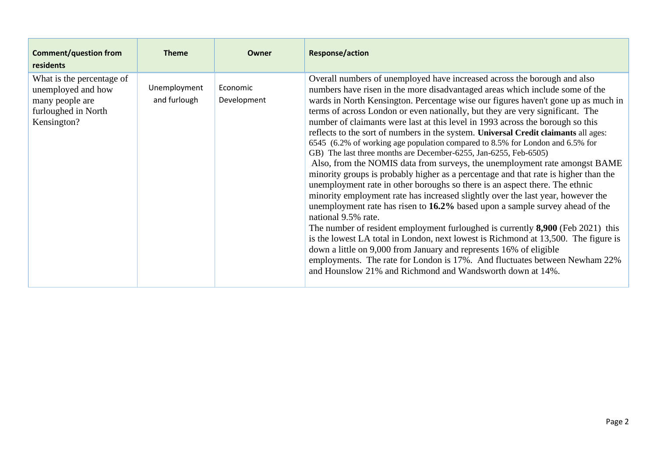| <b>Comment/question from</b><br>residents                                                                | <b>Theme</b>                 | Owner                   | <b>Response/action</b>                                                                                                                                                                                                                                                                                                                                                                                                                                                                                                                                                                                                                                                                                                                                                                                                                                                                                                                                                                                                                                                                                                                                                                                                                                                                                                                                                                                                                                                                               |
|----------------------------------------------------------------------------------------------------------|------------------------------|-------------------------|------------------------------------------------------------------------------------------------------------------------------------------------------------------------------------------------------------------------------------------------------------------------------------------------------------------------------------------------------------------------------------------------------------------------------------------------------------------------------------------------------------------------------------------------------------------------------------------------------------------------------------------------------------------------------------------------------------------------------------------------------------------------------------------------------------------------------------------------------------------------------------------------------------------------------------------------------------------------------------------------------------------------------------------------------------------------------------------------------------------------------------------------------------------------------------------------------------------------------------------------------------------------------------------------------------------------------------------------------------------------------------------------------------------------------------------------------------------------------------------------------|
| What is the percentage of<br>unemployed and how<br>many people are<br>furloughed in North<br>Kensington? | Unemployment<br>and furlough | Economic<br>Development | Overall numbers of unemployed have increased across the borough and also<br>numbers have risen in the more disadvantaged areas which include some of the<br>wards in North Kensington. Percentage wise our figures haven't gone up as much in<br>terms of across London or even nationally, but they are very significant. The<br>number of claimants were last at this level in 1993 across the borough so this<br>reflects to the sort of numbers in the system. Universal Credit claimants all ages:<br>6545 (6.2% of working age population compared to 8.5% for London and 6.5% for<br>GB) The last three months are December-6255, Jan-6255, Feb-6505)<br>Also, from the NOMIS data from surveys, the unemployment rate amongst BAME<br>minority groups is probably higher as a percentage and that rate is higher than the<br>unemployment rate in other boroughs so there is an aspect there. The ethnic<br>minority employment rate has increased slightly over the last year, however the<br>unemployment rate has risen to 16.2% based upon a sample survey ahead of the<br>national 9.5% rate.<br>The number of resident employment furloughed is currently 8,900 (Feb 2021) this<br>is the lowest LA total in London, next lowest is Richmond at 13,500. The figure is<br>down a little on 9,000 from January and represents 16% of eligible<br>employments. The rate for London is 17%. And fluctuates between Newham 22%<br>and Hounslow 21% and Richmond and Wandsworth down at 14%. |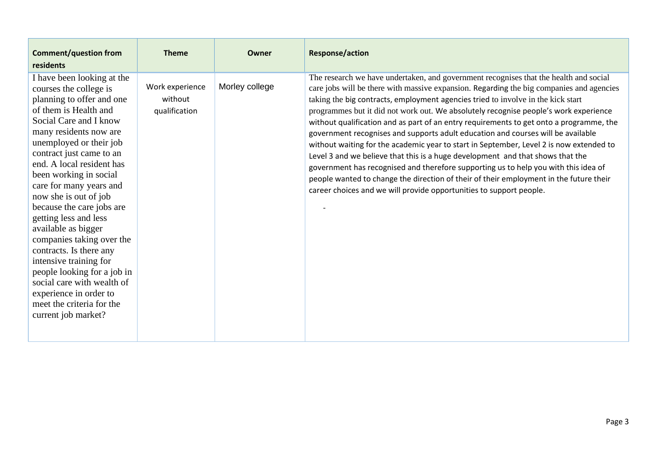| <b>Comment/question from</b><br>residents                                                                                                                                                                                                                                                                                                                                                                                                                                                                                                                                                                                                  | <b>Theme</b>                                | Owner          | <b>Response/action</b>                                                                                                                                                                                                                                                                                                                                                                                                                                                                                                                                                                                                                                                                                                                                                                                                                                                                                                                                                            |
|--------------------------------------------------------------------------------------------------------------------------------------------------------------------------------------------------------------------------------------------------------------------------------------------------------------------------------------------------------------------------------------------------------------------------------------------------------------------------------------------------------------------------------------------------------------------------------------------------------------------------------------------|---------------------------------------------|----------------|-----------------------------------------------------------------------------------------------------------------------------------------------------------------------------------------------------------------------------------------------------------------------------------------------------------------------------------------------------------------------------------------------------------------------------------------------------------------------------------------------------------------------------------------------------------------------------------------------------------------------------------------------------------------------------------------------------------------------------------------------------------------------------------------------------------------------------------------------------------------------------------------------------------------------------------------------------------------------------------|
| I have been looking at the<br>courses the college is<br>planning to offer and one<br>of them is Health and<br>Social Care and I know<br>many residents now are<br>unemployed or their job<br>contract just came to an<br>end. A local resident has<br>been working in social<br>care for many years and<br>now she is out of job<br>because the care jobs are<br>getting less and less<br>available as bigger<br>companies taking over the<br>contracts. Is there any<br>intensive training for<br>people looking for a job in<br>social care with wealth of<br>experience in order to<br>meet the criteria for the<br>current job market? | Work experience<br>without<br>qualification | Morley college | The research we have undertaken, and government recognises that the health and social<br>care jobs will be there with massive expansion. Regarding the big companies and agencies<br>taking the big contracts, employment agencies tried to involve in the kick start<br>programmes but it did not work out. We absolutely recognise people's work experience<br>without qualification and as part of an entry requirements to get onto a programme, the<br>government recognises and supports adult education and courses will be available<br>without waiting for the academic year to start in September, Level 2 is now extended to<br>Level 3 and we believe that this is a huge development and that shows that the<br>government has recognised and therefore supporting us to help you with this idea of<br>people wanted to change the direction of their of their employment in the future their<br>career choices and we will provide opportunities to support people. |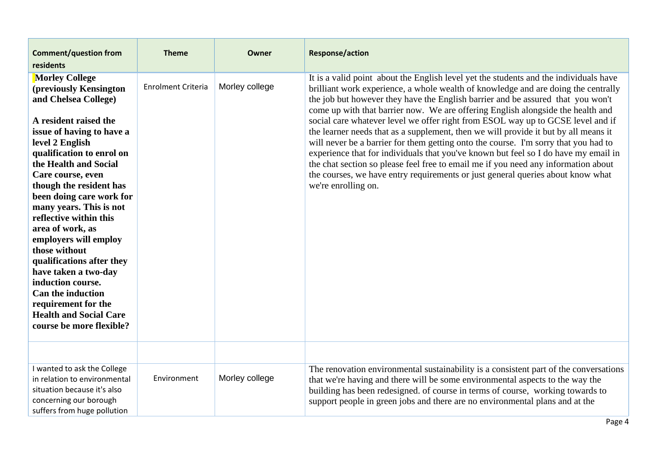| <b>Comment/question from</b>                                                                                                                                                                                                                                                                                                                                                                                                                                                                                                                                                                    | <b>Theme</b>       | Owner          | <b>Response/action</b>                                                                                                                                                                                                                                                                                                                                                                                                                                                                                                                                                                                                                                                                                                                                                                                                                                                                                    |
|-------------------------------------------------------------------------------------------------------------------------------------------------------------------------------------------------------------------------------------------------------------------------------------------------------------------------------------------------------------------------------------------------------------------------------------------------------------------------------------------------------------------------------------------------------------------------------------------------|--------------------|----------------|-----------------------------------------------------------------------------------------------------------------------------------------------------------------------------------------------------------------------------------------------------------------------------------------------------------------------------------------------------------------------------------------------------------------------------------------------------------------------------------------------------------------------------------------------------------------------------------------------------------------------------------------------------------------------------------------------------------------------------------------------------------------------------------------------------------------------------------------------------------------------------------------------------------|
| residents                                                                                                                                                                                                                                                                                                                                                                                                                                                                                                                                                                                       |                    |                |                                                                                                                                                                                                                                                                                                                                                                                                                                                                                                                                                                                                                                                                                                                                                                                                                                                                                                           |
| <b>Morley College</b><br>(previously Kensington<br>and Chelsea College)<br>A resident raised the<br>issue of having to have a<br>level 2 English<br>qualification to enrol on<br>the Health and Social<br>Care course, even<br>though the resident has<br>been doing care work for<br>many years. This is not<br>reflective within this<br>area of work, as<br>employers will employ<br>those without<br>qualifications after they<br>have taken a two-day<br>induction course.<br><b>Can the induction</b><br>requirement for the<br><b>Health and Social Care</b><br>course be more flexible? | Enrolment Criteria | Morley college | It is a valid point about the English level yet the students and the individuals have<br>brilliant work experience, a whole wealth of knowledge and are doing the centrally<br>the job but however they have the English barrier and be assured that you won't<br>come up with that barrier now. We are offering English alongside the health and<br>social care whatever level we offer right from ESOL way up to GCSE level and if<br>the learner needs that as a supplement, then we will provide it but by all means it<br>will never be a barrier for them getting onto the course. I'm sorry that you had to<br>experience that for individuals that you've known but feel so I do have my email in<br>the chat section so please feel free to email me if you need any information about<br>the courses, we have entry requirements or just general queries about know what<br>we're enrolling on. |
|                                                                                                                                                                                                                                                                                                                                                                                                                                                                                                                                                                                                 |                    |                |                                                                                                                                                                                                                                                                                                                                                                                                                                                                                                                                                                                                                                                                                                                                                                                                                                                                                                           |
| I wanted to ask the College<br>in relation to environmental<br>situation because it's also<br>concerning our borough<br>suffers from huge pollution                                                                                                                                                                                                                                                                                                                                                                                                                                             | Environment        | Morley college | The renovation environmental sustainability is a consistent part of the conversations<br>that we're having and there will be some environmental aspects to the way the<br>building has been redesigned. of course in terms of course, working towards to<br>support people in green jobs and there are no environmental plans and at the                                                                                                                                                                                                                                                                                                                                                                                                                                                                                                                                                                  |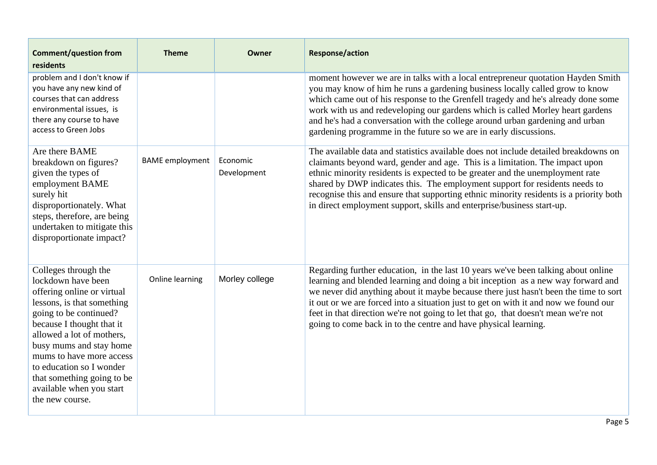| <b>Comment/question from</b><br>residents                                                                                                                                                                                                                                                                                                                  | <b>Theme</b>           | Owner                   | <b>Response/action</b>                                                                                                                                                                                                                                                                                                                                                                                                                                                                                         |
|------------------------------------------------------------------------------------------------------------------------------------------------------------------------------------------------------------------------------------------------------------------------------------------------------------------------------------------------------------|------------------------|-------------------------|----------------------------------------------------------------------------------------------------------------------------------------------------------------------------------------------------------------------------------------------------------------------------------------------------------------------------------------------------------------------------------------------------------------------------------------------------------------------------------------------------------------|
| problem and I don't know if<br>you have any new kind of<br>courses that can address<br>environmental issues, is<br>there any course to have<br>access to Green Jobs                                                                                                                                                                                        |                        |                         | moment however we are in talks with a local entrepreneur quotation Hayden Smith<br>you may know of him he runs a gardening business locally called grow to know<br>which came out of his response to the Grenfell tragedy and he's already done some<br>work with us and redeveloping our gardens which is called Morley heart gardens<br>and he's had a conversation with the college around urban gardening and urban<br>gardening programme in the future so we are in early discussions.                   |
| Are there BAME<br>breakdown on figures?<br>given the types of<br>employment BAME<br>surely hit<br>disproportionately. What<br>steps, therefore, are being<br>undertaken to mitigate this<br>disproportionate impact?                                                                                                                                       | <b>BAME</b> employment | Economic<br>Development | The available data and statistics available does not include detailed breakdowns on<br>claimants beyond ward, gender and age. This is a limitation. The impact upon<br>ethnic minority residents is expected to be greater and the unemployment rate<br>shared by DWP indicates this. The employment support for residents needs to<br>recognise this and ensure that supporting ethnic minority residents is a priority both<br>in direct employment support, skills and enterprise/business start-up.        |
| Colleges through the<br>lockdown have been<br>offering online or virtual<br>lessons, is that something<br>going to be continued?<br>because I thought that it<br>allowed a lot of mothers,<br>busy mums and stay home<br>mums to have more access<br>to education so I wonder<br>that something going to be<br>available when you start<br>the new course. | Online learning        | Morley college          | Regarding further education, in the last 10 years we've been talking about online<br>learning and blended learning and doing a bit inception as a new way forward and<br>we never did anything about it maybe because there just hasn't been the time to sort<br>it out or we are forced into a situation just to get on with it and now we found our<br>feet in that direction we're not going to let that go, that doesn't mean we're not<br>going to come back in to the centre and have physical learning. |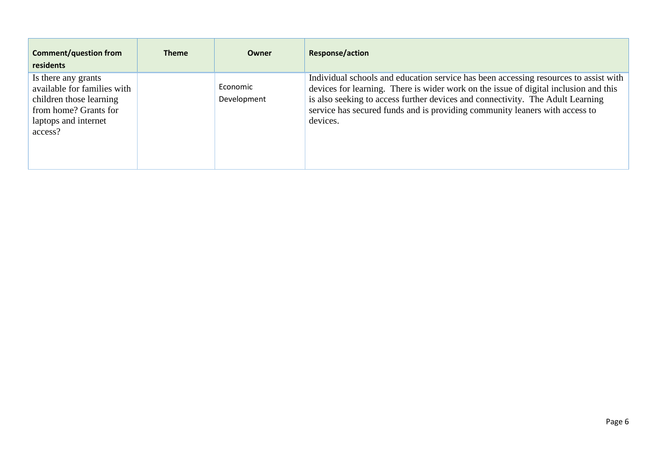| <b>Comment/question from</b><br>residents                                                                                                 | <b>Theme</b> | Owner                   | Response/action                                                                                                                                                                                                                                                                                                                                           |
|-------------------------------------------------------------------------------------------------------------------------------------------|--------------|-------------------------|-----------------------------------------------------------------------------------------------------------------------------------------------------------------------------------------------------------------------------------------------------------------------------------------------------------------------------------------------------------|
| Is there any grants<br>available for families with<br>children those learning<br>from home? Grants for<br>laptops and internet<br>access? |              | Economic<br>Development | Individual schools and education service has been accessing resources to assist with<br>devices for learning. There is wider work on the issue of digital inclusion and this<br>is also seeking to access further devices and connectivity. The Adult Learning<br>service has secured funds and is providing community leaners with access to<br>devices. |